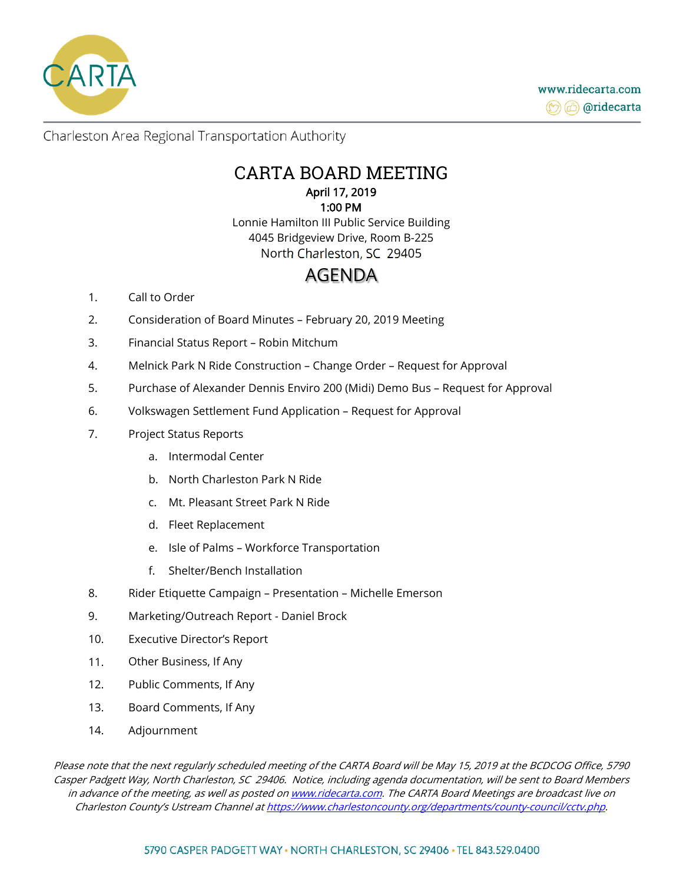

## CARTA BOARD MEETING April 17, 2019 1:00 PM

Lonnie Hamilton III Public Service Building 4045 Bridgeview Drive, Room B-225 North Charleston, SC 29405

# AGENDA

- 1. Call to Order
- 2. Consideration of Board Minutes February 20, 2019 Meeting
- 3. Financial Status Report Robin Mitchum
- 4. Melnick Park N Ride Construction Change Order Request for Approval
- 5. Purchase of Alexander Dennis Enviro 200 (Midi) Demo Bus Request for Approval
- 6. Volkswagen Settlement Fund Application Request for Approval
- 7. Project Status Reports
	- a. Intermodal Center
	- b. North Charleston Park N Ride
	- c. Mt. Pleasant Street Park N Ride
	- d. Fleet Replacement
	- e. Isle of Palms Workforce Transportation
	- f. Shelter/Bench Installation
- 8. Rider Etiquette Campaign Presentation Michelle Emerson
- 9. Marketing/Outreach Report Daniel Brock
- 10. Executive Director's Report
- 11. Other Business, If Any
- 12. Public Comments, If Any
- 13. Board Comments, If Any
- 14. Adjournment

Please note that the next regularly scheduled meeting of the CARTA Board will be May 15, 2019 at the BCDCOG Office, 5790 Casper Padgett Way, North Charleston, SC 29406. Notice, including agenda documentation, will be sent to Board Members in advance of the meeting, as well as posted on www.ridecarta.com. The CARTA Board Meetings are broadcast live on Charleston County's Ustream Channel at https://www.charlestoncounty.org/departments/county-council/cctv.php.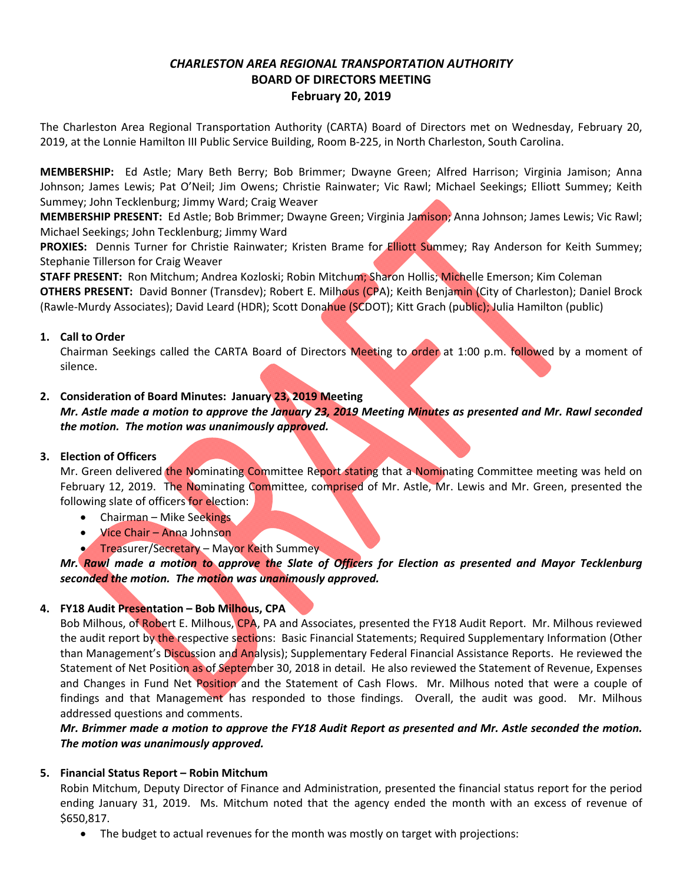## *CHARLESTON AREA REGIONAL TRANSPORTATION AUTHORITY*  **BOARD OF DIRECTORS MEETING February 20, 2019**

The Charleston Area Regional Transportation Authority (CARTA) Board of Directors met on Wednesday, February 20, 2019, at the Lonnie Hamilton III Public Service Building, Room B-225, in North Charleston, South Carolina.

**MEMBERSHIP:**  Ed Astle; Mary Beth Berry; Bob Brimmer; Dwayne Green; Alfred Harrison; Virginia Jamison; Anna Johnson; James Lewis; Pat O'Neil; Jim Owens; Christie Rainwater; Vic Rawl; Michael Seekings; Elliott Summey; Keith Summey; John Tecklenburg; Jimmy Ward; Craig Weaver

**MEMBERSHIP PRESENT:** Ed Astle; Bob Brimmer; Dwayne Green; Virginia Jamison; Anna Johnson; James Lewis; Vic Rawl; Michael Seekings; John Tecklenburg; Jimmy Ward

PROXIES: Dennis Turner for Christie Rainwater; Kristen Brame for **Elliott Summey; Ray Anderson for Keith Summey**; Stephanie Tillerson for Craig Weaver

**STAFF PRESENT:** Ron Mitchum; Andrea Kozloski; Robin Mitchum; Sharon Hollis; Michelle Emerson; Kim Coleman **OTHERS PRESENT:**  David Bonner (Transdev); Robert E. Milhous (CPA); Keith Benjamin (City of Charleston); Daniel Brock (Rawle‐Murdy Associates); David Leard (HDR); Scott Donahue (SCDOT); Kitt Grach (public); Julia Hamilton (public)

#### **1. Call to Order**

Chairman Seekings called the CARTA Board of Directors Meeting to order at 1:00 p.m. followed by a moment of silence.

#### **2. Consideration of Board Minutes: January 23, 2019 Meeting**

*Mr. Astle made a motion to approve the January 23, 2019 Meeting Minutes as presented and Mr. Rawl seconded the motion. The motion was unanimously approved.* 

#### **3. Election of Officers**

Mr. Green delivered the Nominating Committee Report stating that a Nominating Committee meeting was held on February 12, 2019. The Nominating Committee, comprised of Mr. Astle, Mr. Lewis and Mr. Green, presented the following slate of officers for election:

- Chairman Mike Seekings
- Vice Chair Anna Johnson
- **Treasurer/Secretary Mayor Keith Summey**

## *Mr. Rawl made a motion to approve the Slate of Officers for Election as presented and Mayor Tecklenburg seconded the motion. The motion was unanimously approved.*

## **4. FY18 Audit Presentation – Bob Milhous, CPA**

Bob Milhous, of Robert E. Milhous, CPA, PA and Associates, presented the FY18 Audit Report. Mr. Milhous reviewed the audit report by the respective sections: Basic Financial Statements; Required Supplementary Information (Other than Management's Discussion and Analysis); Supplementary Federal Financial Assistance Reports. He reviewed the Statement of Net Position as of September 30, 2018 in detail. He also reviewed the Statement of Revenue, Expenses and Changes in Fund Net Position and the Statement of Cash Flows. Mr. Milhous noted that were a couple of findings and that Management has responded to those findings. Overall, the audit was good. Mr. Milhous addressed questions and comments.

*Mr. Brimmer made a motion to approve the FY18 Audit Report as presented and Mr. Astle seconded the motion.*  The motion was unanimously approved.

#### **5. Financial Status Report – Robin Mitchum**

Robin Mitchum, Deputy Director of Finance and Administration, presented the financial status report for the period ending January 31, 2019. Ms. Mitchum noted that the agency ended the month with an excess of revenue of \$650,817.

The budget to actual revenues for the month was mostly on target with projections: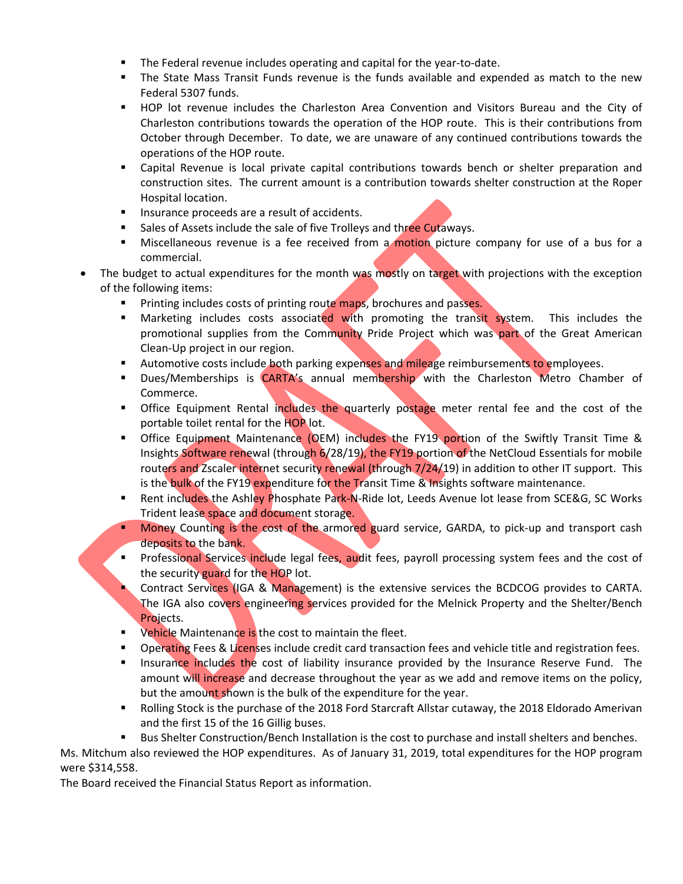- The Federal revenue includes operating and capital for the year-to-date.
- The State Mass Transit Funds revenue is the funds available and expended as match to the new Federal 5307 funds.
- **HOP lot revenue includes the Charleston Area Convention and Visitors Bureau and the City of** Charleston contributions towards the operation of the HOP route. This is their contributions from October through December. To date, we are unaware of any continued contributions towards the operations of the HOP route.
- Capital Revenue is local private capital contributions towards bench or shelter preparation and construction sites. The current amount is a contribution towards shelter construction at the Roper Hospital location.
- **Insurance proceeds are a result of accidents.**
- Sales of Assets include the sale of five Trolleys and three Cutaways.
- Miscellaneous revenue is a fee received from a motion picture company for use of a bus for a commercial.
- The budget to actual expenditures for the month was mostly on target with projections with the exception of the following items:
	- **Printing includes costs of printing route maps, brochures and passes.**
	- **Marketing includes costs associated with promoting the transit system.** This includes the promotional supplies from the Community Pride Project which was part of the Great American Clean‐Up project in our region.
	- **Automotive costs include both parking expenses and mileage reimbursements to employees.**
	- Dues/Memberships is CARTA's annual membership with the Charleston Metro Chamber of Commerce.
	- **The Equipment Rental includes the quarterly postage meter rental fee and the cost of the** portable toilet rental for the HOP lot.
	- **The Continglent of Containty Communism** CDEM) includes the FY19 portion of the Swiftly Transit Time & Insights Software renewal (through 6/28/19), the FY19 portion of the NetCloud Essentials for mobile routers and Zscaler internet security renewal (through 7/24/19) in addition to other IT support. This is the bulk of the FY19 expenditure for the Transit Time & Insights software maintenance.
	- Rent includes the Ashley Phosphate Park-N-Ride lot, Leeds Avenue lot lease from SCE&G, SC Works Trident lease space and document storage.
	- **Money Counting is the cost of the armored guard service, GARDA, to pick-up and transport cash** deposits to the bank.
	- **Professional Services include legal fees, audit fees, payroll processing system fees and the cost of** the security guard for the HOP lot.
	- Contract Services (IGA & Management) is the extensive services the BCDCOG provides to CARTA. The IGA also covers engineering services provided for the Melnick Property and the Shelter/Bench Projects.
	- **•** Vehicle Maintenance is the cost to maintain the fleet.
	- **Derating Fees & Licenses include credit card transaction fees and vehicle title and registration fees.**
	- Insurance includes the cost of liability insurance provided by the Insurance Reserve Fund. The amount will increase and decrease throughout the year as we add and remove items on the policy, but the amount shown is the bulk of the expenditure for the year.
	- **Rolling Stock is the purchase of the 2018 Ford Starcraft Allstar cutaway, the 2018 Eldorado Amerivan** and the first 15 of the 16 Gillig buses.
	- Bus Shelter Construction/Bench Installation is the cost to purchase and install shelters and benches.

Ms. Mitchum also reviewed the HOP expenditures. As of January 31, 2019, total expenditures for the HOP program were \$314,558.

The Board received the Financial Status Report as information.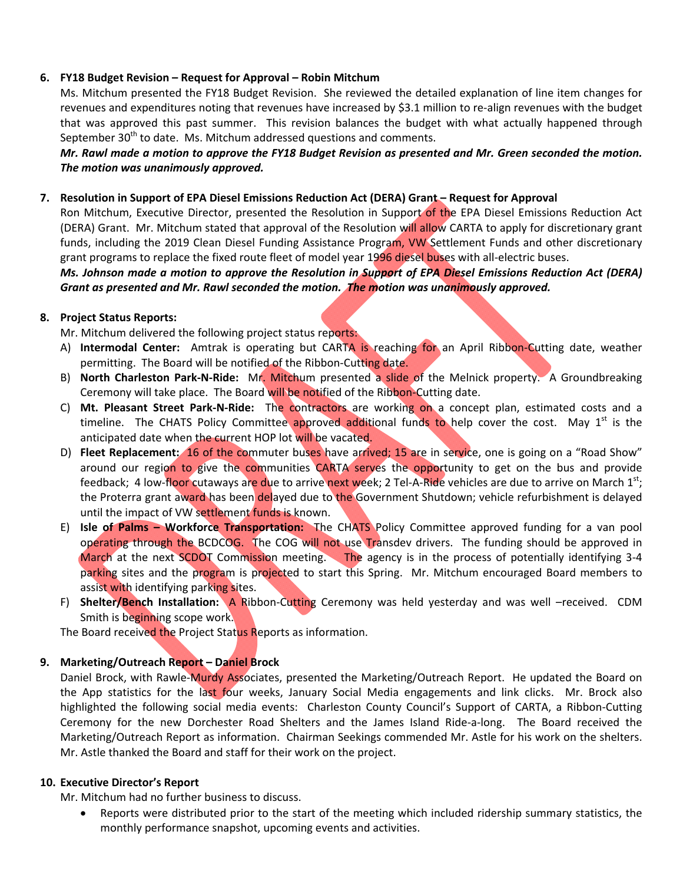#### **6. FY18 Budget Revision – Request for Approval – Robin Mitchum**

Ms. Mitchum presented the FY18 Budget Revision. She reviewed the detailed explanation of line item changes for revenues and expenditures noting that revenues have increased by \$3.1 million to re‐align revenues with the budget that was approved this past summer. This revision balances the budget with what actually happened through September  $30<sup>th</sup>$  to date. Ms. Mitchum addressed questions and comments.

*Mr. Rawl made a motion to approve the FY18 Budget Revision as presented and Mr. Green seconded the motion. The motion was unanimously approved.*

#### **7. Resolution in Support of EPA Diesel Emissions Reduction Act (DERA) Grant – Request for Approval**

Ron Mitchum, Executive Director, presented the Resolution in Support of the EPA Diesel Emissions Reduction Act (DERA) Grant. Mr. Mitchum stated that approval of the Resolution will allow CARTA to apply for discretionary grant funds, including the 2019 Clean Diesel Funding Assistance Program, VW Settlement Funds and other discretionary grant programs to replace the fixed route fleet of model year 1996 diesel buses with all-electric buses.

*Ms. Johnson made a motion to approve the Resolution in Support of EPA Diesel Emissions Reduction Act (DERA) Grant as presented and Mr. Rawl seconded the motion. The motion was unanimously approved.*

#### **8. Project Status Reports:**

Mr. Mitchum delivered the following project status reports:

- A) **Intermodal Center:** Amtrak is operating but CARTA is reaching for an April Ribbon-Cutting date, weather permitting. The Board will be notified of the Ribbon-Cutting date.
- B) **North Charleston Park‐N‐Ride:** Mr. Mitchum presented a slide of the Melnick property. A Groundbreaking Ceremony will take place. The Board will be notified of the Ribbon-Cutting date.
- C) **Mt. Pleasant Street Park‐N‐Ride:** The contractors are working on a concept plan, estimated costs and a timeline. The CHATS Policy Committee approved additional funds to help cover the cost. May  $1<sup>st</sup>$  is the anticipated date when the current HOP lot will be vacated.
- D) **Fleet Replacement:** 16 of the commuter buses have arrived; 15 are in service, one is going on a "Road Show" around our region to give the communities CARTA serves the opportunity to get on the bus and provide feedback; 4 low-floor cutaways are due to arrive next week; 2 Tel-A-Ride vehicles are due to arrive on March 1st; the Proterra grant award has been delayed due to the Government Shutdown; vehicle refurbishment is delayed until the impact of VW settlement funds is known.
- E) **Isle of Palms Workforce Transportation:** The CHATS Policy Committee approved funding for a van pool operating through the BCDCOG. The COG will not use Transdev drivers. The funding should be approved in March at the next SCDOT Commission meeting. The agency is in the process of potentially identifying 3-4 parking sites and the program is projected to start this Spring. Mr. Mitchum encouraged Board members to assist with identifying parking sites.
- F) Shelter/Bench Installation: A Ribbon-Cutting Ceremony was held yesterday and was well -received. CDM Smith is beginning scope work.

The Board received the Project Status Reports as information.

#### **9. Marketing/Outreach Report – Daniel Brock**

Daniel Brock, with Rawle-Murdy Associates, presented the Marketing/Outreach Report. He updated the Board on the App statistics for the last four weeks, January Social Media engagements and link clicks. Mr. Brock also highlighted the following social media events: Charleston County Council's Support of CARTA, a Ribbon-Cutting Ceremony for the new Dorchester Road Shelters and the James Island Ride‐a‐long. The Board received the Marketing/Outreach Report as information. Chairman Seekings commended Mr. Astle for his work on the shelters. Mr. Astle thanked the Board and staff for their work on the project.

#### **10. Executive Director's Report**

Mr. Mitchum had no further business to discuss.

 Reports were distributed prior to the start of the meeting which included ridership summary statistics, the monthly performance snapshot, upcoming events and activities.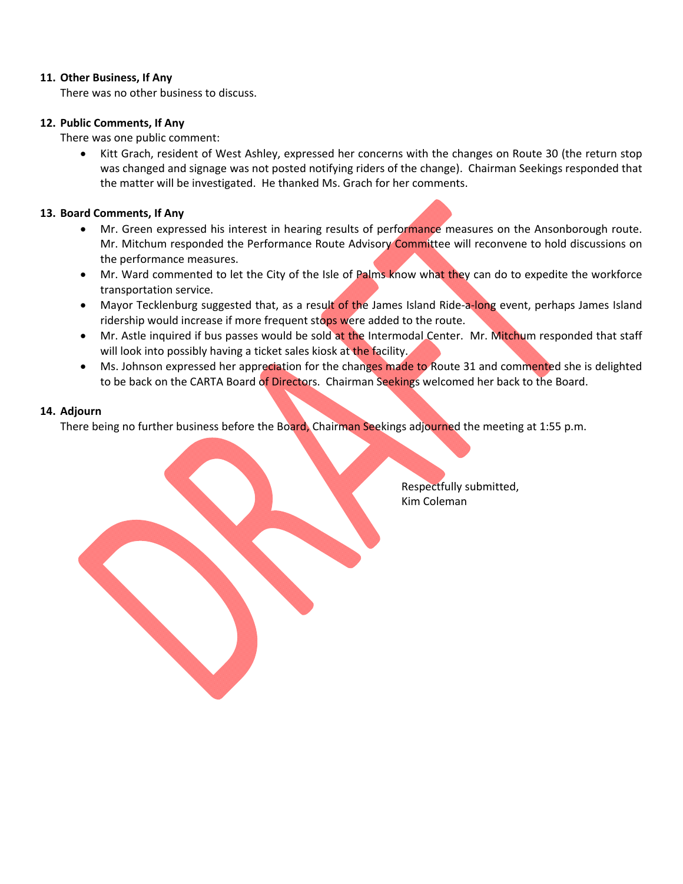#### **11. Other Business, If Any**

There was no other business to discuss.

#### **12. Public Comments, If Any**

There was one public comment:

• Kitt Grach, resident of West Ashley, expressed her concerns with the changes on Route 30 (the return stop was changed and signage was not posted notifying riders of the change). Chairman Seekings responded that the matter will be investigated. He thanked Ms. Grach for her comments.

#### **13. Board Comments, If Any**

- Mr. Green expressed his interest in hearing results of performance measures on the Ansonborough route. Mr. Mitchum responded the Performance Route Advisory Committee will reconvene to hold discussions on the performance measures.
- Mr. Ward commented to let the City of the Isle of Palms know what they can do to expedite the workforce transportation service.
- Mayor Tecklenburg suggested that, as a result of the James Island Ride-a-long event, perhaps James Island ridership would increase if more frequent stops were added to the route.
- Mr. Astle inquired if bus passes would be sold at the Intermodal Center. Mr. Mitchum responded that staff will look into possibly having a ticket sales kiosk at the facility.
- Ms. Johnson expressed her appreciation for the changes made to Route 31 and commented she is delighted to be back on the CARTA Board of Directors. Chairman Seekings welcomed her back to the Board.

#### **14. Adjourn**

There being no further business before the Board, Chairman Seekings adjourned the meeting at 1:55 p.m.

 Respectfully submitted, Kim Coleman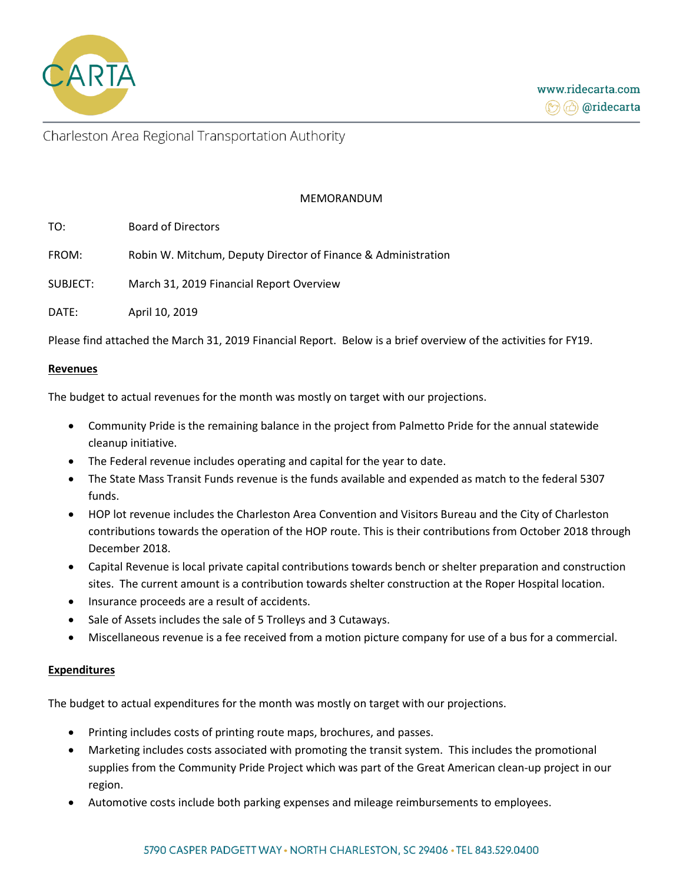

#### MEMORANDUM

| TO: | <b>Board of Directors</b> |
|-----|---------------------------|
|     |                           |

FROM: Robin W. Mitchum, Deputy Director of Finance & Administration

SUBJECT: March 31, 2019 Financial Report Overview

DATE: April 10, 2019

Please find attached the March 31, 2019 Financial Report. Below is a brief overview of the activities for FY19.

#### **Revenues**

The budget to actual revenues for the month was mostly on target with our projections.

- Community Pride is the remaining balance in the project from Palmetto Pride for the annual statewide cleanup initiative.
- The Federal revenue includes operating and capital for the year to date.
- The State Mass Transit Funds revenue is the funds available and expended as match to the federal 5307 funds.
- HOP lot revenue includes the Charleston Area Convention and Visitors Bureau and the City of Charleston contributions towards the operation of the HOP route. This is their contributions from October 2018 through December 2018.
- Capital Revenue is local private capital contributions towards bench or shelter preparation and construction sites. The current amount is a contribution towards shelter construction at the Roper Hospital location.
- Insurance proceeds are a result of accidents.
- Sale of Assets includes the sale of 5 Trolleys and 3 Cutaways.
- Miscellaneous revenue is a fee received from a motion picture company for use of a bus for a commercial.

#### **Expenditures**

The budget to actual expenditures for the month was mostly on target with our projections.

- Printing includes costs of printing route maps, brochures, and passes.
- Marketing includes costs associated with promoting the transit system. This includes the promotional supplies from the Community Pride Project which was part of the Great American clean-up project in our region.
- Automotive costs include both parking expenses and mileage reimbursements to employees.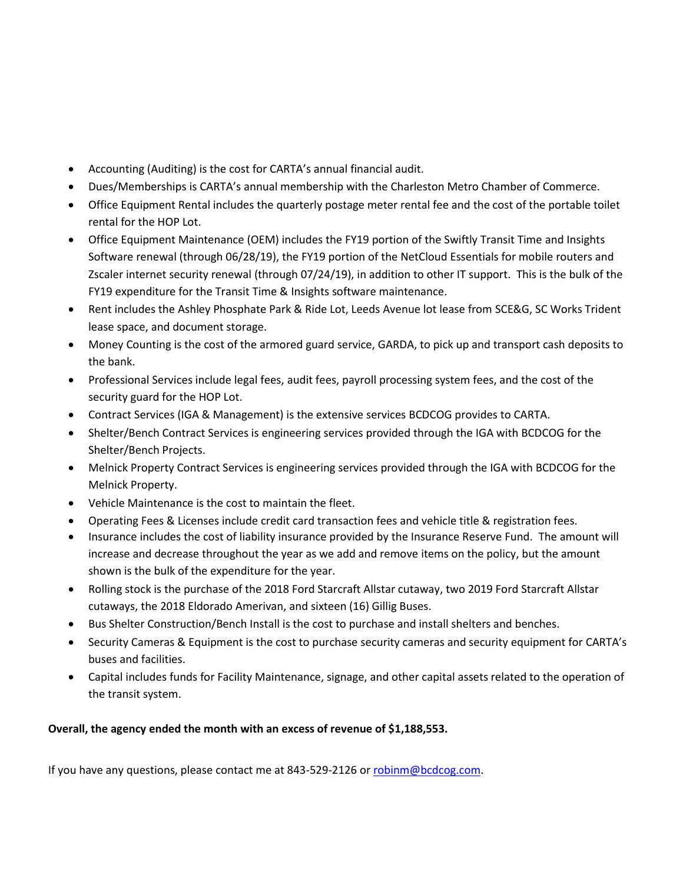- Accounting (Auditing) is the cost for CARTA's annual financial audit.
- Dues/Memberships is CARTA's annual membership with the Charleston Metro Chamber of Commerce.
- Office Equipment Rental includes the quarterly postage meter rental fee and the cost of the portable toilet rental for the HOP Lot.
- Office Equipment Maintenance (OEM) includes the FY19 portion of the Swiftly Transit Time and Insights Software renewal (through 06/28/19), the FY19 portion of the NetCloud Essentials for mobile routers and Zscaler internet security renewal (through 07/24/19), in addition to other IT support. This is the bulk of the FY19 expenditure for the Transit Time & Insights software maintenance.
- Rent includes the Ashley Phosphate Park & Ride Lot, Leeds Avenue lot lease from SCE&G, SC Works Trident lease space, and document storage.
- Money Counting is the cost of the armored guard service, GARDA, to pick up and transport cash deposits to the bank.
- Professional Services include legal fees, audit fees, payroll processing system fees, and the cost of the security guard for the HOP Lot.
- Contract Services (IGA & Management) is the extensive services BCDCOG provides to CARTA.
- Shelter/Bench Contract Services is engineering services provided through the IGA with BCDCOG for the Shelter/Bench Projects.
- Melnick Property Contract Services is engineering services provided through the IGA with BCDCOG for the Melnick Property.
- Vehicle Maintenance is the cost to maintain the fleet.
- Operating Fees & Licenses include credit card transaction fees and vehicle title & registration fees.
- Insurance includes the cost of liability insurance provided by the Insurance Reserve Fund. The amount will increase and decrease throughout the year as we add and remove items on the policy, but the amount shown is the bulk of the expenditure for the year.
- Rolling stock is the purchase of the 2018 Ford Starcraft Allstar cutaway, two 2019 Ford Starcraft Allstar cutaways, the 2018 Eldorado Amerivan, and sixteen (16) Gillig Buses.
- Bus Shelter Construction/Bench Install is the cost to purchase and install shelters and benches.
- Security Cameras & Equipment is the cost to purchase security cameras and security equipment for CARTA's buses and facilities.
- Capital includes funds for Facility Maintenance, signage, and other capital assets related to the operation of the transit system.

## **Overall, the agency ended the month with an excess of revenue of \$1,188,553.**

If you have any questions, please contact me at 843-529-2126 o[r robinm@bcdcog.com.](mailto:robinm@bcdcog.com)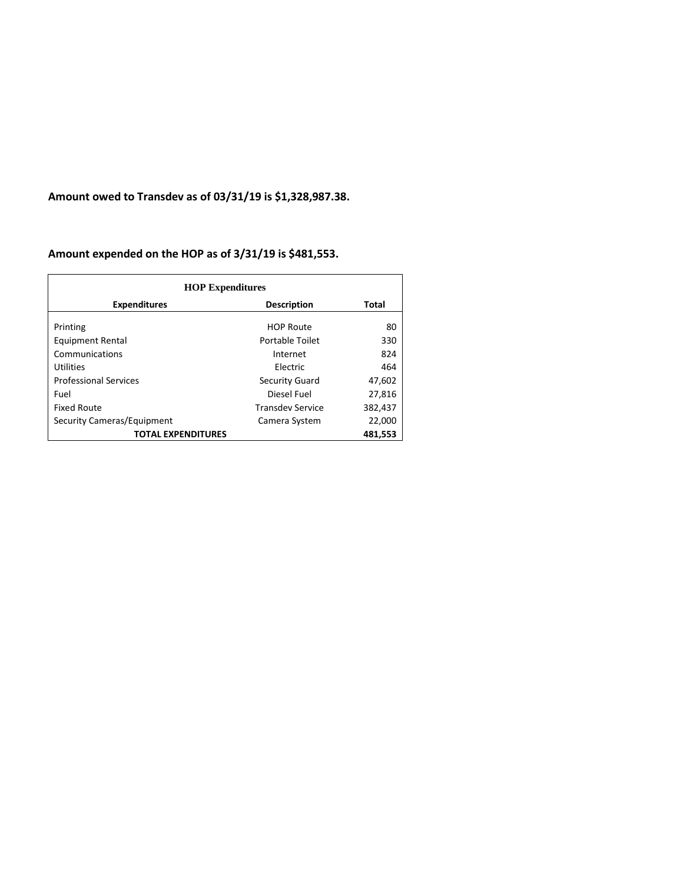**Amount owed to Transdev as of 03/31/19 is \$1,328,987.38.** 

## **Amount expended on the HOP as of 3/31/19 is \$481,553.**

| <b>HOP Expenditures</b>      |                         |         |
|------------------------------|-------------------------|---------|
| <b>Expenditures</b>          | <b>Description</b>      | Total   |
| Printing                     | <b>HOP Route</b>        | 80      |
| <b>Equipment Rental</b>      | Portable Toilet         | 330     |
| Communications               | Internet                | 824     |
| <b>Utilities</b>             | Electric                | 464     |
| <b>Professional Services</b> | Security Guard          | 47,602  |
| Fuel                         | Diesel Fuel             | 27,816  |
| <b>Fixed Route</b>           | <b>Transdev Service</b> | 382,437 |
| Security Cameras/Equipment   | Camera System           | 22,000  |
| <b>TOTAL EXPENDITURES</b>    |                         | 481,553 |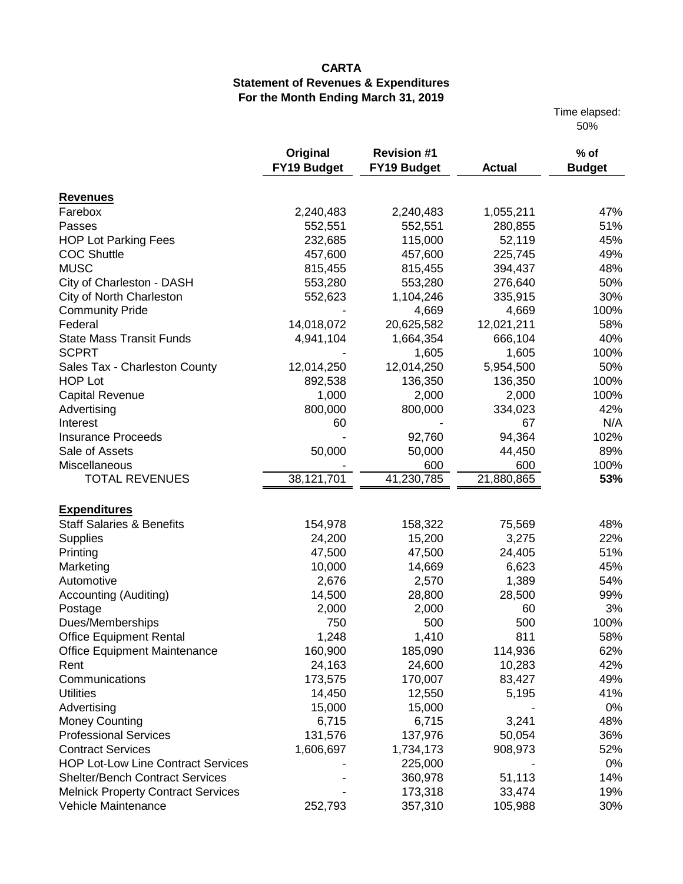Time elapsed: 50%

|                                           | Original           | <b>Revision #1</b> |               | $%$ of        |
|-------------------------------------------|--------------------|--------------------|---------------|---------------|
|                                           | <b>FY19 Budget</b> | <b>FY19 Budget</b> | <b>Actual</b> | <b>Budget</b> |
| <b>Revenues</b>                           |                    |                    |               |               |
| Farebox                                   | 2,240,483          | 2,240,483          | 1,055,211     | 47%           |
| Passes                                    | 552,551            | 552,551            | 280,855       | 51%           |
| <b>HOP Lot Parking Fees</b>               | 232,685            | 115,000            | 52,119        | 45%           |
| <b>COC Shuttle</b>                        | 457,600            | 457,600            | 225,745       | 49%           |
| <b>MUSC</b>                               | 815,455            | 815,455            | 394,437       | 48%           |
| City of Charleston - DASH                 | 553,280            | 553,280            | 276,640       | 50%           |
| City of North Charleston                  | 552,623            | 1,104,246          | 335,915       | 30%           |
| <b>Community Pride</b>                    |                    | 4,669              | 4,669         | 100%          |
| Federal                                   | 14,018,072         | 20,625,582         | 12,021,211    | 58%           |
| <b>State Mass Transit Funds</b>           | 4,941,104          | 1,664,354          | 666,104       | 40%           |
| <b>SCPRT</b>                              |                    | 1,605              | 1,605         | 100%          |
| Sales Tax - Charleston County             | 12,014,250         | 12,014,250         | 5,954,500     | 50%           |
| <b>HOP Lot</b>                            | 892,538            | 136,350            | 136,350       | 100%          |
| <b>Capital Revenue</b>                    | 1,000              | 2,000              | 2,000         | 100%          |
| Advertising                               | 800,000            | 800,000            | 334,023       | 42%           |
| Interest                                  | 60                 |                    | 67            | N/A           |
| <b>Insurance Proceeds</b>                 |                    | 92,760             | 94,364        | 102%          |
| Sale of Assets                            | 50,000             | 50,000             | 44,450        | 89%           |
| Miscellaneous                             |                    | 600                | 600           | 100%          |
| <b>TOTAL REVENUES</b>                     | 38,121,701         | 41,230,785         | 21,880,865    | 53%           |
| <b>Expenditures</b>                       |                    |                    |               |               |
| <b>Staff Salaries &amp; Benefits</b>      | 154,978            | 158,322            | 75,569        | 48%           |
| Supplies                                  | 24,200             | 15,200             | 3,275         | 22%           |
| Printing                                  | 47,500             | 47,500             | 24,405        | 51%           |
| Marketing                                 | 10,000             | 14,669             | 6,623         | 45%           |
| Automotive                                | 2,676              | 2,570              | 1,389         | 54%           |
| Accounting (Auditing)                     | 14,500             | 28,800             | 28,500        | 99%           |
| Postage                                   | 2,000              | 2,000              | 60            | 3%            |
| Dues/Memberships                          | 750                | 500                | 500           | 100%          |
| <b>Office Equipment Rental</b>            | 1,248              | 1,410              | 811           | 58%           |
| Office Equipment Maintenance              | 160,900            | 185,090            | 114,936       | 62%           |
| Rent                                      | 24,163             | 24,600             | 10,283        | 42%           |
| Communications                            | 173,575            | 170,007            | 83,427        | 49%           |
| <b>Utilities</b>                          | 14,450             | 12,550             | 5,195         | 41%           |
| Advertising                               | 15,000             | 15,000             |               | 0%            |
| <b>Money Counting</b>                     | 6,715              | 6,715              | 3,241         | 48%           |
| <b>Professional Services</b>              | 131,576            | 137,976            | 50,054        | 36%           |
| <b>Contract Services</b>                  | 1,606,697          | 1,734,173          | 908,973       | 52%           |
| <b>HOP Lot-Low Line Contract Services</b> |                    | 225,000            |               | 0%            |
| <b>Shelter/Bench Contract Services</b>    |                    | 360,978            | 51,113        | 14%           |
| <b>Melnick Property Contract Services</b> |                    | 173,318            | 33,474        | 19%           |
| Vehicle Maintenance                       | 252,793            | 357,310            | 105,988       | 30%           |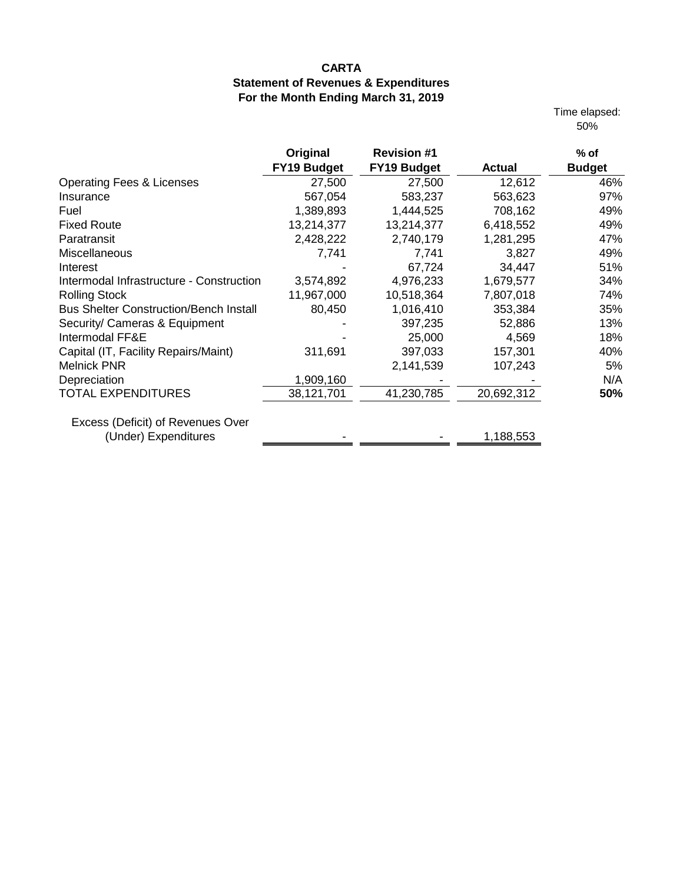Time elapsed: 50%

|                                               | Original           | <b>Revision #1</b> |               | $%$ of        |
|-----------------------------------------------|--------------------|--------------------|---------------|---------------|
|                                               | <b>FY19 Budget</b> | <b>FY19 Budget</b> | <b>Actual</b> | <b>Budget</b> |
| <b>Operating Fees &amp; Licenses</b>          | 27,500             | 27,500             | 12,612        | 46%           |
| Insurance                                     | 567,054            | 583,237            | 563,623       | 97%           |
| Fuel                                          | 1,389,893          | 1,444,525          | 708,162       | 49%           |
| <b>Fixed Route</b>                            | 13,214,377         | 13,214,377         | 6,418,552     | 49%           |
| Paratransit                                   | 2,428,222          | 2,740,179          | 1,281,295     | 47%           |
| Miscellaneous                                 | 7,741              | 7,741              | 3,827         | 49%           |
| Interest                                      |                    | 67,724             | 34,447        | 51%           |
| Intermodal Infrastructure - Construction      | 3,574,892          | 4,976,233          | 1,679,577     | 34%           |
| <b>Rolling Stock</b>                          | 11,967,000         | 10,518,364         | 7,807,018     | 74%           |
| <b>Bus Shelter Construction/Bench Install</b> | 80,450             | 1,016,410          | 353,384       | 35%           |
| Security/ Cameras & Equipment                 |                    | 397,235            | 52,886        | 13%           |
| Intermodal FF&E                               |                    | 25,000             | 4,569         | 18%           |
| Capital (IT, Facility Repairs/Maint)          | 311,691            | 397,033            | 157,301       | 40%           |
| <b>Melnick PNR</b>                            |                    | 2,141,539          | 107,243       | 5%            |
| Depreciation                                  | 1,909,160          |                    |               | N/A           |
| <b>TOTAL EXPENDITURES</b>                     | 38,121,701         | 41,230,785         | 20,692,312    | 50%           |
| Excess (Deficit) of Revenues Over             |                    |                    |               |               |
| (Under) Expenditures                          |                    |                    | 1,188,553     |               |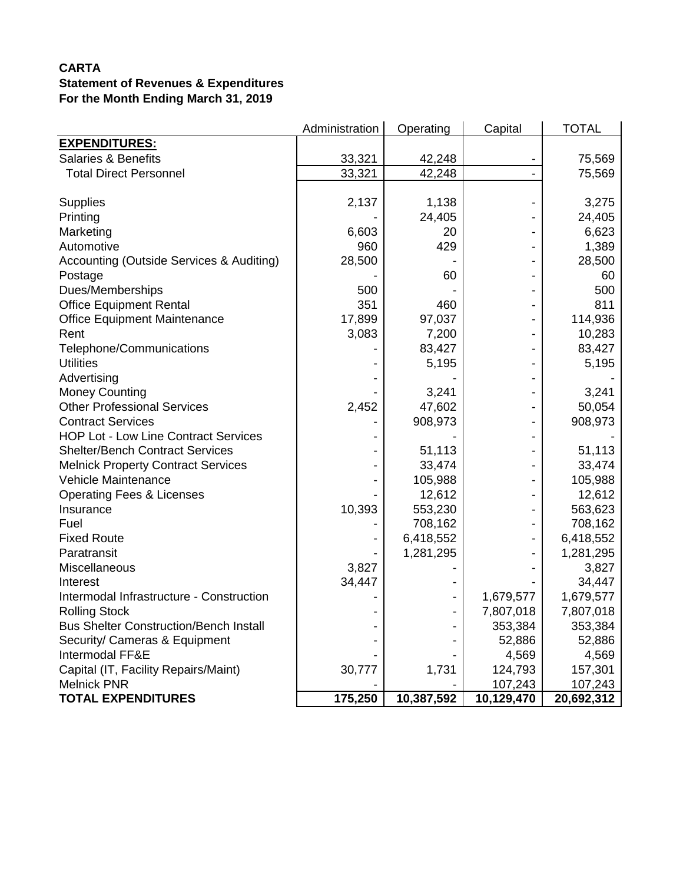|                                               | Administration | Operating  | Capital    | <b>TOTAL</b> |
|-----------------------------------------------|----------------|------------|------------|--------------|
| <b>EXPENDITURES:</b>                          |                |            |            |              |
| <b>Salaries &amp; Benefits</b>                | 33,321         | 42,248     |            | 75,569       |
| <b>Total Direct Personnel</b>                 | 33,321         | 42,248     |            | 75,569       |
|                                               |                |            |            |              |
| <b>Supplies</b>                               | 2,137          | 1,138      |            | 3,275        |
| Printing                                      |                | 24,405     |            | 24,405       |
| Marketing                                     | 6,603          | 20         |            | 6,623        |
| Automotive                                    | 960            | 429        |            | 1,389        |
| Accounting (Outside Services & Auditing)      | 28,500         |            |            | 28,500       |
| Postage                                       |                | 60         |            | 60           |
| Dues/Memberships                              | 500            |            |            | 500          |
| <b>Office Equipment Rental</b>                | 351            | 460        |            | 811          |
| <b>Office Equipment Maintenance</b>           | 17,899         | 97,037     |            | 114,936      |
| Rent                                          | 3,083          | 7,200      |            | 10,283       |
| Telephone/Communications                      |                | 83,427     |            | 83,427       |
| <b>Utilities</b>                              |                | 5,195      |            | 5,195        |
| Advertising                                   |                |            |            |              |
| <b>Money Counting</b>                         |                | 3,241      |            | 3,241        |
| <b>Other Professional Services</b>            | 2,452          | 47,602     |            | 50,054       |
| <b>Contract Services</b>                      |                | 908,973    |            | 908,973      |
| <b>HOP Lot - Low Line Contract Services</b>   |                |            |            |              |
| <b>Shelter/Bench Contract Services</b>        |                | 51,113     |            | 51,113       |
| <b>Melnick Property Contract Services</b>     |                | 33,474     |            | 33,474       |
| Vehicle Maintenance                           |                | 105,988    |            | 105,988      |
| <b>Operating Fees &amp; Licenses</b>          |                | 12,612     |            | 12,612       |
| Insurance                                     | 10,393         | 553,230    |            | 563,623      |
| Fuel                                          |                | 708,162    |            | 708,162      |
| <b>Fixed Route</b>                            |                | 6,418,552  |            | 6,418,552    |
| Paratransit                                   |                | 1,281,295  |            | 1,281,295    |
| Miscellaneous                                 | 3,827          |            |            | 3,827        |
| Interest                                      | 34,447         |            |            | 34,447       |
| Intermodal Infrastructure - Construction      |                |            | 1,679,577  | 1,679,577    |
| <b>Rolling Stock</b>                          |                |            | 7,807,018  | 7,807,018    |
| <b>Bus Shelter Construction/Bench Install</b> |                |            | 353,384    | 353,384      |
| Security/ Cameras & Equipment                 |                |            | 52,886     | 52,886       |
| Intermodal FF&E                               |                |            | 4,569      | 4,569        |
| Capital (IT, Facility Repairs/Maint)          | 30,777         | 1,731      | 124,793    | 157,301      |
| <b>Melnick PNR</b>                            |                |            | 107,243    | 107,243      |
| <b>TOTAL EXPENDITURES</b>                     | 175,250        | 10,387,592 | 10,129,470 | 20,692,312   |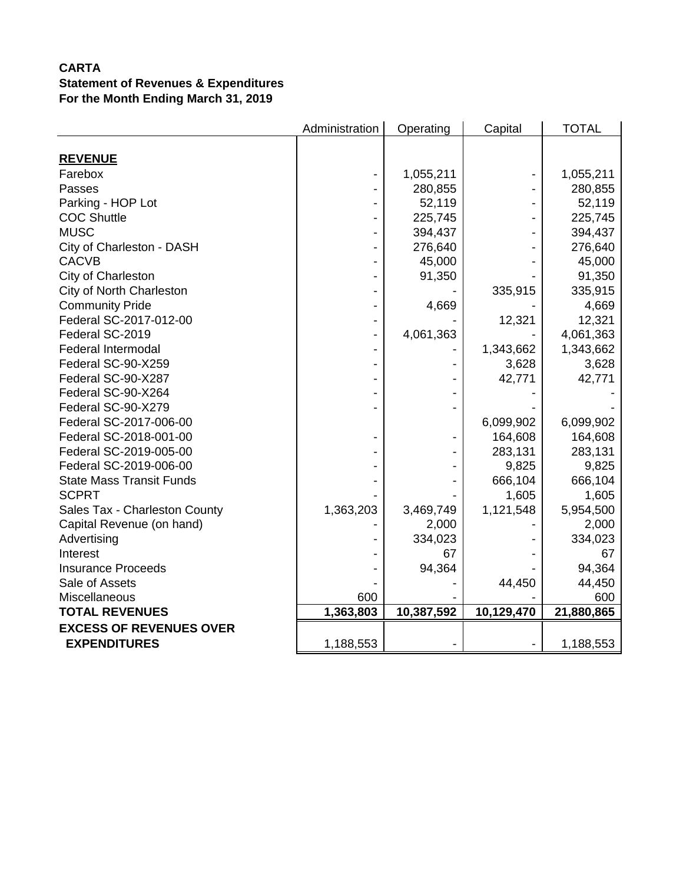|                                 | Administration | Operating  | Capital    | <b>TOTAL</b> |
|---------------------------------|----------------|------------|------------|--------------|
|                                 |                |            |            |              |
| <b>REVENUE</b>                  |                |            |            |              |
| Farebox                         |                | 1,055,211  |            | 1,055,211    |
| Passes                          |                | 280,855    |            | 280,855      |
| Parking - HOP Lot               |                | 52,119     |            | 52,119       |
| <b>COC Shuttle</b>              |                | 225,745    |            | 225,745      |
| <b>MUSC</b>                     |                | 394,437    |            | 394,437      |
| City of Charleston - DASH       |                | 276,640    |            | 276,640      |
| <b>CACVB</b>                    |                | 45,000     |            | 45,000       |
| City of Charleston              |                | 91,350     |            | 91,350       |
| City of North Charleston        |                |            | 335,915    | 335,915      |
| <b>Community Pride</b>          |                | 4,669      |            | 4,669        |
| Federal SC-2017-012-00          |                |            | 12,321     | 12,321       |
| Federal SC-2019                 |                | 4,061,363  |            | 4,061,363    |
| <b>Federal Intermodal</b>       |                |            | 1,343,662  | 1,343,662    |
| Federal SC-90-X259              |                |            | 3,628      | 3,628        |
| Federal SC-90-X287              |                |            | 42,771     | 42,771       |
| Federal SC-90-X264              |                |            |            |              |
| Federal SC-90-X279              |                |            |            |              |
| Federal SC-2017-006-00          |                |            | 6,099,902  | 6,099,902    |
| Federal SC-2018-001-00          |                |            | 164,608    | 164,608      |
| Federal SC-2019-005-00          |                |            | 283,131    | 283,131      |
| Federal SC-2019-006-00          |                |            | 9,825      | 9,825        |
| <b>State Mass Transit Funds</b> |                |            | 666,104    | 666,104      |
| <b>SCPRT</b>                    |                |            | 1,605      | 1,605        |
| Sales Tax - Charleston County   | 1,363,203      | 3,469,749  | 1,121,548  | 5,954,500    |
| Capital Revenue (on hand)       |                | 2,000      |            | 2,000        |
| Advertising                     |                | 334,023    |            | 334,023      |
| Interest                        |                | 67         |            | 67           |
| <b>Insurance Proceeds</b>       |                | 94,364     |            | 94,364       |
| Sale of Assets                  |                |            | 44,450     | 44,450       |
| Miscellaneous                   | 600            |            |            | 600          |
| <b>TOTAL REVENUES</b>           | 1,363,803      | 10,387,592 | 10,129,470 | 21,880,865   |
| <b>EXCESS OF REVENUES OVER</b>  |                |            |            |              |
| <b>EXPENDITURES</b>             | 1,188,553      |            |            | 1,188,553    |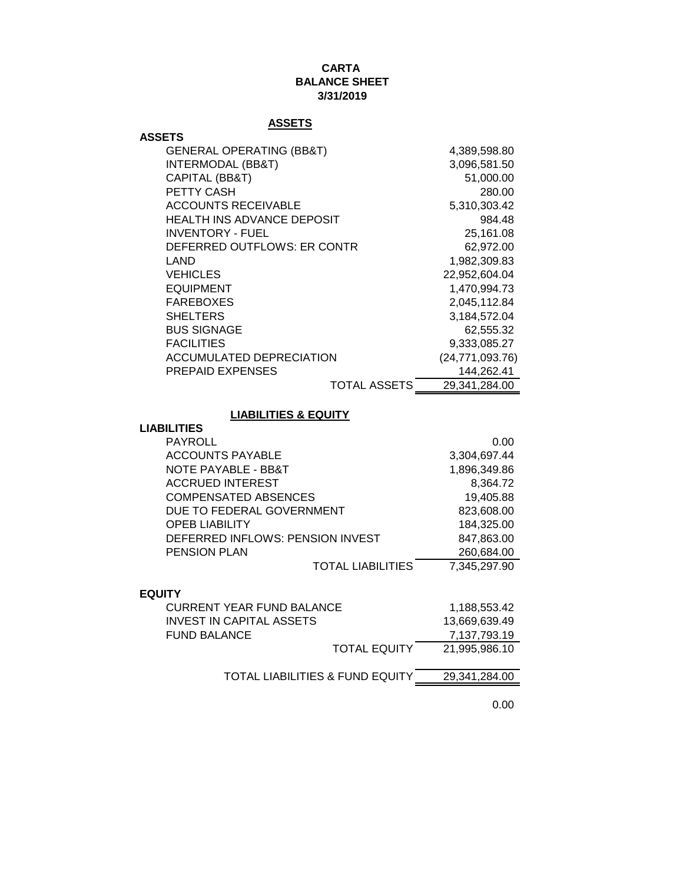#### **CARTA BALANCE SHEET 3/31/2019**

## **ASSETS**

| <b>ASSETS</b>                       |                   |
|-------------------------------------|-------------------|
| <b>GENERAL OPERATING (BB&amp;T)</b> | 4,389,598.80      |
| <b>INTERMODAL (BB&amp;T)</b>        | 3,096,581.50      |
| CAPITAL (BB&T)                      | 51,000.00         |
| PETTY CASH                          | 280.00            |
| <b>ACCOUNTS RECEIVABLE</b>          | 5,310,303.42      |
| <b>HEALTH INS ADVANCE DEPOSIT</b>   | 984.48            |
| INVENTORY - FUEL                    | 25,161.08         |
| DEFERRED OUTFLOWS: ER CONTR         | 62,972.00         |
| LAND                                | 1,982,309.83      |
| <b>VEHICLES</b>                     | 22,952,604.04     |
| <b>EQUIPMENT</b>                    | 1,470,994.73      |
| <b>FAREBOXES</b>                    | 2,045,112.84      |
| <b>SHELTERS</b>                     | 3,184,572.04      |
| <b>BUS SIGNAGE</b>                  | 62,555.32         |
| <b>FACILITIES</b>                   | 9,333,085.27      |
| <b>ACCUMULATED DEPRECIATION</b>     | (24, 771, 093.76) |
| <b>PREPAID EXPENSES</b>             | 144,262.41        |
| TOTAL ASSETS                        | 29,341,284.00     |

## **LIABILITIES & EQUITY**

#### **LIABILITIES**

| <b>PAYROLL</b>                   | 0.00         |
|----------------------------------|--------------|
| <b>ACCOUNTS PAYABLE</b>          | 3,304,697.44 |
| NOTE PAYABLE - BB&T              | 1,896,349.86 |
| <b>ACCRUED INTEREST</b>          | 8,364.72     |
| <b>COMPENSATED ABSENCES</b>      | 19,405.88    |
| DUE TO FEDERAL GOVERNMENT        | 823,608.00   |
| <b>OPEB LIABILITY</b>            | 184,325.00   |
| DEFERRED INFLOWS: PENSION INVEST | 847,863.00   |
| <b>PENSION PLAN</b>              | 260,684.00   |
| <b>TOTAL LIABILITIES</b>         | 7,345,297.90 |

#### **EQUITY**

| CURRENT YEAR FUND BALANCE       | 1.188.553.42  |
|---------------------------------|---------------|
| INVEST IN CAPITAL ASSETS        | 13,669,639.49 |
| FUND BALANCE                    | 7,137,793.19  |
| <b>TOTAL EQUITY</b>             | 21.995.986.10 |
|                                 |               |
| TOTAL LIABILITIES & FUND EQUITY | 29,341,284.00 |
|                                 |               |

0.00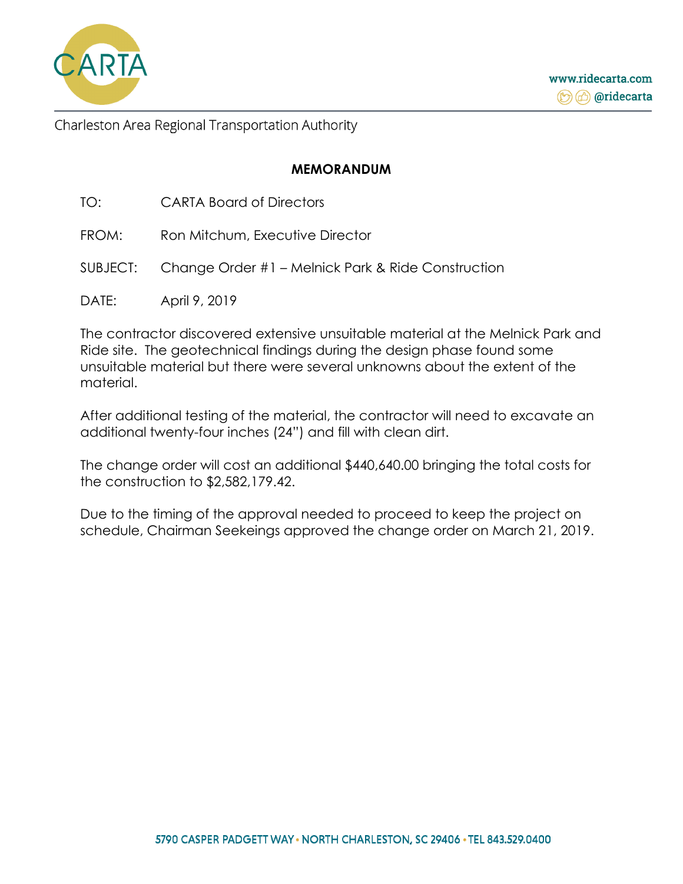

www.ridecarta.com **the Condecarta** 

Charleston Area Regional Transportation Authority

## **MEMORANDUM**

| <b>CARTA Board of Directors</b><br>TO: |
|----------------------------------------|
|----------------------------------------|

- FROM: Ron Mitchum, Executive Director
- SUBJECT: Change Order #1 Melnick Park & Ride Construction
- DATE: April 9, 2019

The contractor discovered extensive unsuitable material at the Melnick Park and Ride site. The geotechnical findings during the design phase found some unsuitable material but there were several unknowns about the extent of the material.

After additional testing of the material, the contractor will need to excavate an additional twenty-four inches (24") and fill with clean dirt.

The change order will cost an additional \$440,640.00 bringing the total costs for the construction to \$2,582,179.42.

Due to the timing of the approval needed to proceed to keep the project on schedule, Chairman Seekeings approved the change order on March 21, 2019.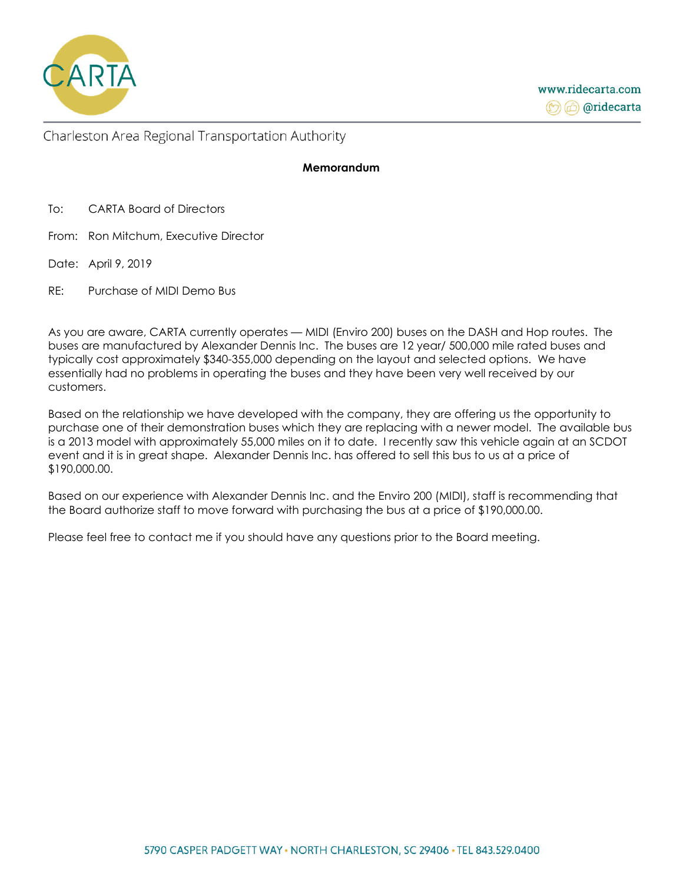

#### **Memorandum**

To: CARTA Board of Directors

- From: Ron Mitchum, Executive Director
- Date: April 9, 2019
- RE: Purchase of MIDI Demo Bus

As you are aware, CARTA currently operates — MIDI (Enviro 200) buses on the DASH and Hop routes. The buses are manufactured by Alexander Dennis Inc. The buses are 12 year/ 500,000 mile rated buses and typically cost approximately \$340-355,000 depending on the layout and selected options. We have essentially had no problems in operating the buses and they have been very well received by our customers.

Based on the relationship we have developed with the company, they are offering us the opportunity to purchase one of their demonstration buses which they are replacing with a newer model. The available bus is a 2013 model with approximately 55,000 miles on it to date. I recently saw this vehicle again at an SCDOT event and it is in great shape. Alexander Dennis Inc. has offered to sell this bus to us at a price of \$190,000.00.

Based on our experience with Alexander Dennis Inc. and the Enviro 200 (MIDI), staff is recommending that the Board authorize staff to move forward with purchasing the bus at a price of \$190,000.00.

Please feel free to contact me if you should have any questions prior to the Board meeting.